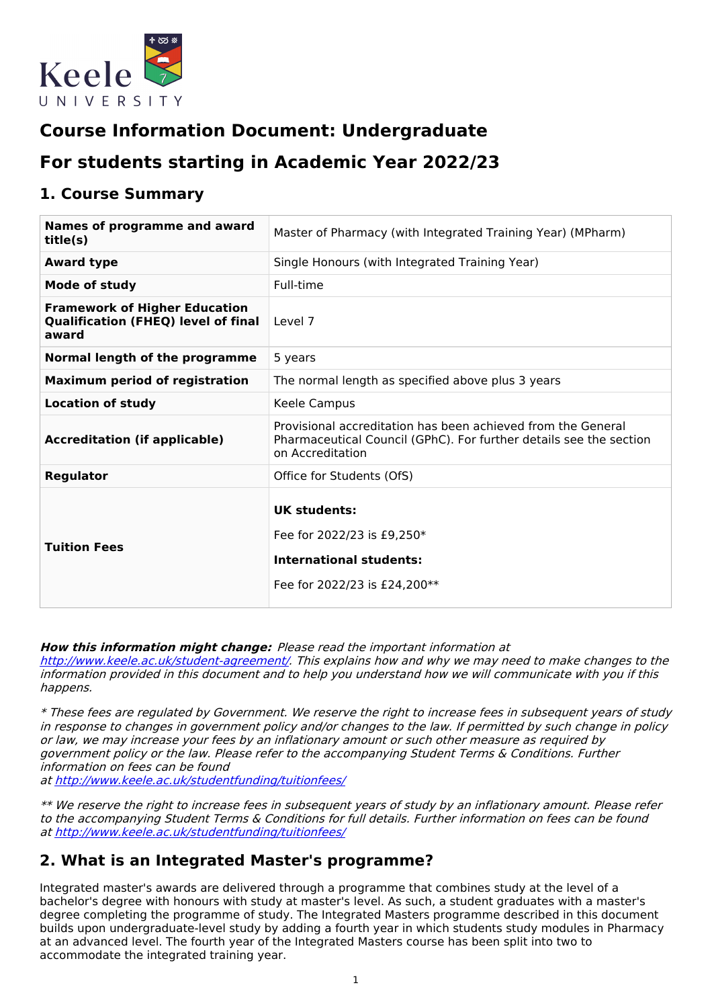

# **Course Information Document: Undergraduate**

# **For students starting in Academic Year 2022/23**

### **1. Course Summary**

| Names of programme and award<br>title(s)                                                    | Master of Pharmacy (with Integrated Training Year) (MPharm)                                                                                            |  |  |
|---------------------------------------------------------------------------------------------|--------------------------------------------------------------------------------------------------------------------------------------------------------|--|--|
| <b>Award type</b>                                                                           | Single Honours (with Integrated Training Year)                                                                                                         |  |  |
| Mode of study                                                                               | Full-time                                                                                                                                              |  |  |
| <b>Framework of Higher Education</b><br><b>Qualification (FHEQ) level of final</b><br>award | Level 7                                                                                                                                                |  |  |
| Normal length of the programme                                                              | 5 years                                                                                                                                                |  |  |
| <b>Maximum period of registration</b>                                                       | The normal length as specified above plus 3 years                                                                                                      |  |  |
| <b>Location of study</b>                                                                    | Keele Campus                                                                                                                                           |  |  |
| <b>Accreditation (if applicable)</b>                                                        | Provisional accreditation has been achieved from the General<br>Pharmaceutical Council (GPhC). For further details see the section<br>on Accreditation |  |  |
| <b>Regulator</b>                                                                            | Office for Students (OfS)                                                                                                                              |  |  |
| <b>Tuition Fees</b>                                                                         | <b>UK students:</b><br>Fee for 2022/23 is £9,250*<br><b>International students:</b><br>Fee for 2022/23 is £24,200**                                    |  |  |

#### **How this information might change:** Please read the important information at

<http://www.keele.ac.uk/student-agreement/>. This explains how and why we may need to make changes to the information provided in this document and to help you understand how we will communicate with you if this happens.

\* These fees are regulated by Government. We reserve the right to increase fees in subsequent years of study in response to changes in government policy and/or changes to the law. If permitted by such change in policy or law, we may increase your fees by an inflationary amount or such other measure as required by government policy or the law. Please refer to the accompanying Student Terms & Conditions. Further information on fees can be found at <http://www.keele.ac.uk/studentfunding/tuitionfees/>

\*\* We reserve the right to increase fees in subsequent years of study by an inflationary amount. Please refer to the accompanying Student Terms & Conditions for full details. Further information on fees can be found at <http://www.keele.ac.uk/studentfunding/tuitionfees/>

### **2. What is an Integrated Master's programme?**

Integrated master's awards are delivered through a programme that combines study at the level of a bachelor's degree with honours with study at master's level. As such, a student graduates with a master's degree completing the programme of study. The Integrated Masters programme described in this document builds upon undergraduate-level study by adding a fourth year in which students study modules in Pharmacy at an advanced level. The fourth year of the Integrated Masters course has been split into two to accommodate the integrated training year.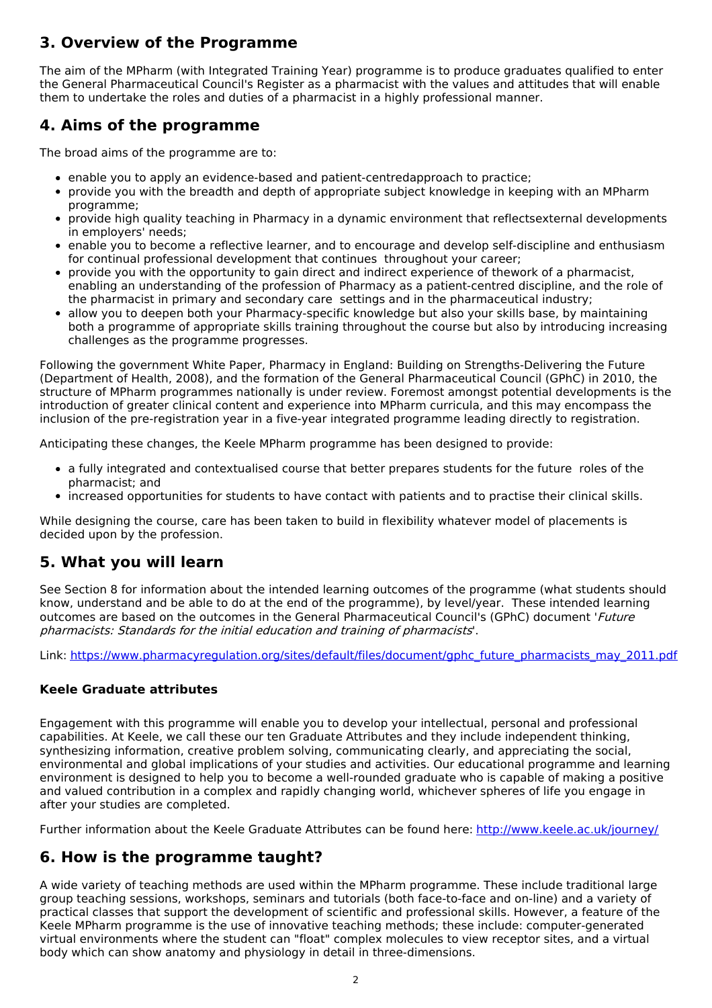## **3. Overview of the Programme**

The aim of the MPharm (with Integrated Training Year) programme is to produce graduates qualified to enter the General Pharmaceutical Council's Register as a pharmacist with the values and attitudes that will enable them to undertake the roles and duties of a pharmacist in a highly professional manner.

## **4. Aims of the programme**

The broad aims of the programme are to:

- enable you to apply an evidence-based and patient-centredapproach to practice;
- provide you with the breadth and depth of appropriate subject knowledge in keeping with an MPharm programme;
- provide high quality teaching in Pharmacy in a dynamic environment that reflectsexternal developments in employers' needs;
- enable you to become a reflective learner, and to encourage and develop self-discipline and enthusiasm for continual professional development that continues throughout your career;
- provide you with the opportunity to gain direct and indirect experience of thework of a pharmacist, enabling an understanding of the profession of Pharmacy as a patient-centred discipline, and the role of the pharmacist in primary and secondary care settings and in the pharmaceutical industry;
- allow you to deepen both your Pharmacy-specific knowledge but also your skills base, by maintaining both a programme of appropriate skills training throughout the course but also by introducing increasing challenges as the programme progresses.

Following the government White Paper, Pharmacy in England: Building on Strengths-Delivering the Future (Department of Health, 2008), and the formation of the General Pharmaceutical Council (GPhC) in 2010, the structure of MPharm programmes nationally is under review. Foremost amongst potential developments is the introduction of greater clinical content and experience into MPharm curricula, and this may encompass the inclusion of the pre-registration year in a five-year integrated programme leading directly to registration.

Anticipating these changes, the Keele MPharm programme has been designed to provide:

- a fully integrated and contextualised course that better prepares students for the future roles of the pharmacist; and
- increased opportunities for students to have contact with patients and to practise their clinical skills.

While designing the course, care has been taken to build in flexibility whatever model of placements is decided upon by the profession.

### **5. What you will learn**

See Section 8 for information about the intended learning outcomes of the programme (what students should know, understand and be able to do at the end of the programme), by level/year. These intended learning outcomes are based on the outcomes in the General Pharmaceutical Council's (GPhC) document 'Future pharmacists: Standards for the initial education and training of pharmacists'.

Link: [https://www.pharmacyregulation.org/sites/default/files/document/gphc\\_future\\_pharmacists\\_may\\_2011.pdf](https://www.pharmacyregulation.org/sites/default/files/document/gphc_future_pharmacists_may_2011.pdf)

### **Keele Graduate attributes**

Engagement with this programme will enable you to develop your intellectual, personal and professional capabilities. At Keele, we call these our ten Graduate Attributes and they include independent thinking, synthesizing information, creative problem solving, communicating clearly, and appreciating the social, environmental and global implications of your studies and activities. Our educational programme and learning environment is designed to help you to become a well-rounded graduate who is capable of making a positive and valued contribution in a complex and rapidly changing world, whichever spheres of life you engage in after your studies are completed.

Further information about the Keele Graduate Attributes can be found here: <http://www.keele.ac.uk/journey/>

### **6. How is the programme taught?**

A wide variety of teaching methods are used within the MPharm programme. These include traditional large group teaching sessions, workshops, seminars and tutorials (both face-to-face and on-line) and a variety of practical classes that support the development of scientific and professional skills. However, a feature of the Keele MPharm programme is the use of innovative teaching methods; these include: computer-generated virtual environments where the student can "float" complex molecules to view receptor sites, and a virtual body which can show anatomy and physiology in detail in three-dimensions.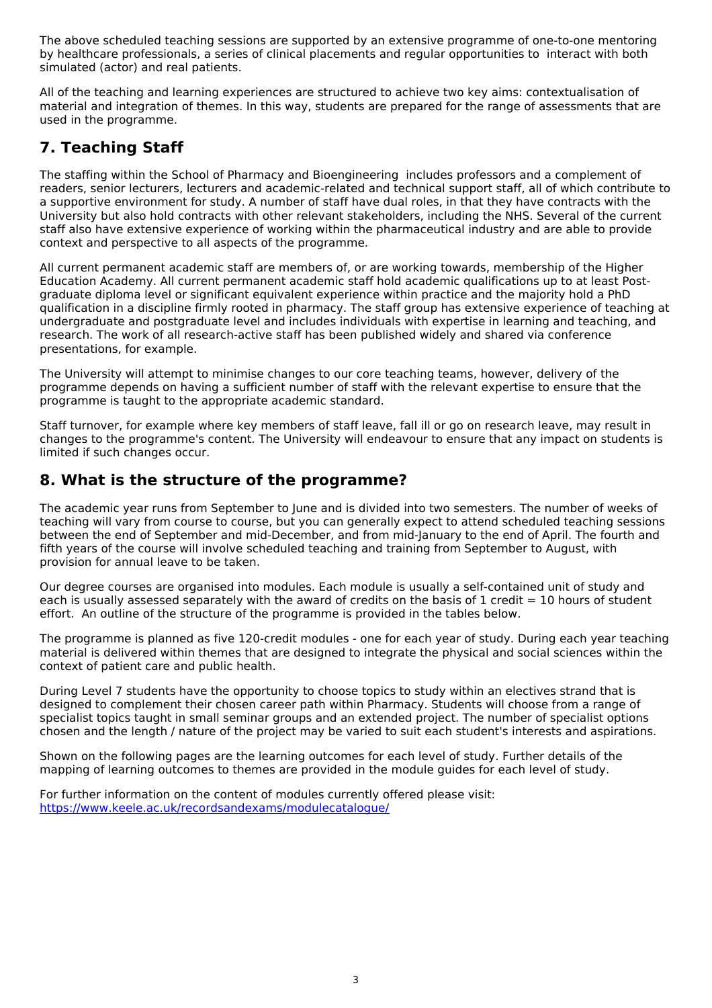The above scheduled teaching sessions are supported by an extensive programme of one-to-one mentoring by healthcare professionals, a series of clinical placements and regular opportunities to interact with both simulated (actor) and real patients.

All of the teaching and learning experiences are structured to achieve two key aims: contextualisation of material and integration of themes. In this way, students are prepared for the range of assessments that are used in the programme.

# **7. Teaching Staff**

The staffing within the School of Pharmacy and Bioengineering includes professors and a complement of readers, senior lecturers, lecturers and academic-related and technical support staff, all of which contribute to a supportive environment for study. A number of staff have dual roles, in that they have contracts with the University but also hold contracts with other relevant stakeholders, including the NHS. Several of the current staff also have extensive experience of working within the pharmaceutical industry and are able to provide context and perspective to all aspects of the programme.

All current permanent academic staff are members of, or are working towards, membership of the Higher Education Academy. All current permanent academic staff hold academic qualifications up to at least Postgraduate diploma level or significant equivalent experience within practice and the majority hold a PhD qualification in a discipline firmly rooted in pharmacy. The staff group has extensive experience of teaching at undergraduate and postgraduate level and includes individuals with expertise in learning and teaching, and research. The work of all research-active staff has been published widely and shared via conference presentations, for example.

The University will attempt to minimise changes to our core teaching teams, however, delivery of the programme depends on having a sufficient number of staff with the relevant expertise to ensure that the programme is taught to the appropriate academic standard.

Staff turnover, for example where key members of staff leave, fall ill or go on research leave, may result in changes to the programme's content. The University will endeavour to ensure that any impact on students is limited if such changes occur.

### **8. What is the structure of the programme?**

The academic year runs from September to June and is divided into two semesters. The number of weeks of teaching will vary from course to course, but you can generally expect to attend scheduled teaching sessions between the end of September and mid-December, and from mid-January to the end of April. The fourth and fifth years of the course will involve scheduled teaching and training from September to August, with provision for annual leave to be taken.

Our degree courses are organised into modules. Each module is usually a self-contained unit of study and each is usually assessed separately with the award of credits on the basis of 1 credit  $= 10$  hours of student effort. An outline of the structure of the programme is provided in the tables below.

The programme is planned as five 120-credit modules - one for each year of study. During each year teaching material is delivered within themes that are designed to integrate the physical and social sciences within the context of patient care and public health.

During Level 7 students have the opportunity to choose topics to study within an electives strand that is designed to complement their chosen career path within Pharmacy. Students will choose from a range of specialist topics taught in small seminar groups and an extended project. The number of specialist options chosen and the length / nature of the project may be varied to suit each student's interests and aspirations.

Shown on the following pages are the learning outcomes for each level of study. Further details of the mapping of learning outcomes to themes are provided in the module guides for each level of study.

For further information on the content of modules currently offered please visit: [https://www.keele.ac.uk/recordsandexams/modulecatalogue/](http://https//www.keele.ac.uk/recordsandexams/modulecatalogue/)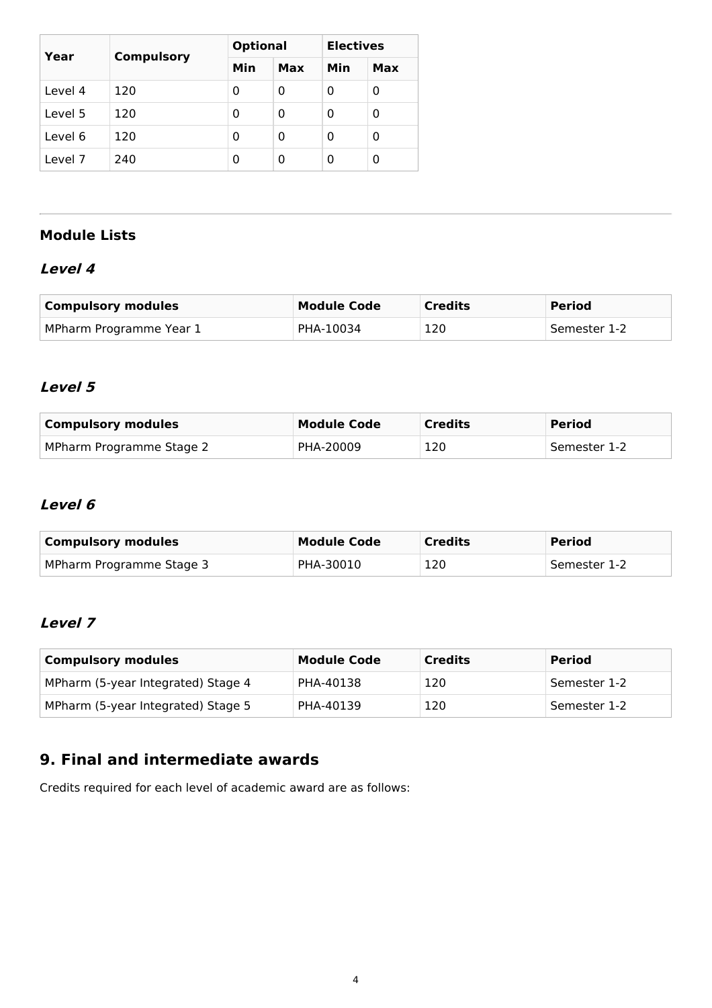| Year    | <b>Compulsory</b> | <b>Optional</b> |     | <b>Electives</b> |     |
|---------|-------------------|-----------------|-----|------------------|-----|
|         |                   | Min             | Max | Min              | Max |
| Level 4 | 120               | 0               | 0   | 0                | 0   |
| Level 5 | 120               | 0               | 0   | 0                | 0   |
| Level 6 | 120               | 0               | 0   | 0                | 0   |
| Level 7 | 240               | 0               | 0   | 0                | 0   |

### **Module Lists**

### **Level 4**

| <b>Compulsory modules</b> | <b>Module Code</b> | <b>Credits</b> | <b>Period</b> |
|---------------------------|--------------------|----------------|---------------|
| MPharm Programme Year 1   | PHA-10034          | 120            | Semester 1-2  |

### **Level 5**

| Compulsory modules       | <b>Module Code</b> | <b>Credits</b> | <b>Period</b> |
|--------------------------|--------------------|----------------|---------------|
| MPharm Programme Stage 2 | PHA-20009          | 120            | Semester 1-2  |

## **Level 6**

| <b>Compulsory modules</b> | <b>Module Code</b> | <b>Credits</b> | <b>Period</b> |
|---------------------------|--------------------|----------------|---------------|
| MPharm Programme Stage 3  | PHA-30010          | 120            | Semester 1-2  |

### **Level 7**

| <b>Compulsory modules</b>          | <b>Module Code</b> | <b>Credits</b> | <b>Period</b> |
|------------------------------------|--------------------|----------------|---------------|
| MPharm (5-year Integrated) Stage 4 | PHA-40138          | 120            | Semester 1-2  |
| MPharm (5-year Integrated) Stage 5 | PHA-40139          | 120            | Semester 1-2  |

# **9. Final and intermediate awards**

Credits required for each level of academic award are as follows: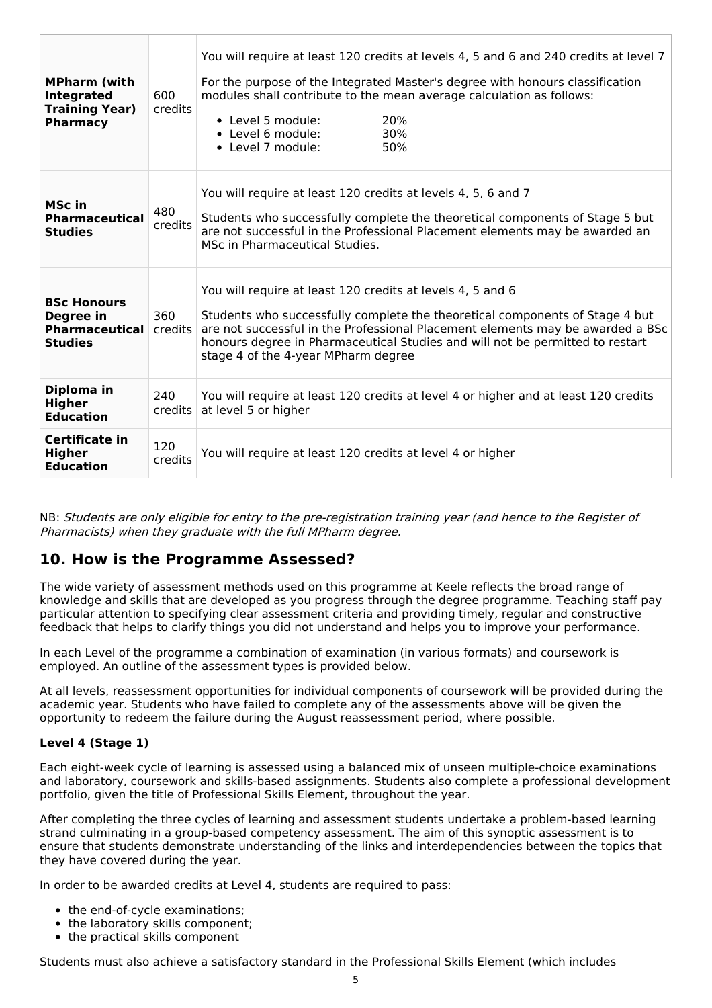| <b>MPharm (with</b><br><b>Integrated</b><br><b>Training Year)</b><br><b>Pharmacy</b> | 600<br>credits | You will require at least 120 credits at levels 4, 5 and 6 and 240 credits at level 7<br>For the purpose of the Integrated Master's degree with honours classification<br>modules shall contribute to the mean average calculation as follows:<br>• Level 5 module:<br>20%<br>• Level 6 module:<br>30%<br>• Level 7 module:<br>50%                   |  |  |
|--------------------------------------------------------------------------------------|----------------|------------------------------------------------------------------------------------------------------------------------------------------------------------------------------------------------------------------------------------------------------------------------------------------------------------------------------------------------------|--|--|
| MSc in<br><b>Pharmaceutical</b><br><b>Studies</b>                                    | 480<br>credits | You will require at least 120 credits at levels 4, 5, 6 and 7<br>Students who successfully complete the theoretical components of Stage 5 but<br>are not successful in the Professional Placement elements may be awarded an<br>MSc in Pharmaceutical Studies.                                                                                       |  |  |
| <b>BSc Honours</b><br>Degree in<br><b>Pharmaceutical</b><br><b>Studies</b>           | 360<br>credits | You will require at least 120 credits at levels 4, 5 and 6<br>Students who successfully complete the theoretical components of Stage 4 but<br>are not successful in the Professional Placement elements may be awarded a BSc<br>honours degree in Pharmaceutical Studies and will not be permitted to restart<br>stage 4 of the 4-year MPharm degree |  |  |
| Diploma in<br><b>Higher</b><br><b>Education</b>                                      | 240<br>credits | You will require at least 120 credits at level 4 or higher and at least 120 credits<br>at level 5 or higher                                                                                                                                                                                                                                          |  |  |
| Certificate in<br><b>Higher</b><br><b>Education</b>                                  | 120<br>credits | You will require at least 120 credits at level 4 or higher                                                                                                                                                                                                                                                                                           |  |  |

NB: Students are only eligible for entry to the pre-registration training year (and hence to the Register of Pharmacists) when they graduate with the full MPharm degree.

### **10. How is the Programme Assessed?**

The wide variety of assessment methods used on this programme at Keele reflects the broad range of knowledge and skills that are developed as you progress through the degree programme. Teaching staff pay particular attention to specifying clear assessment criteria and providing timely, regular and constructive feedback that helps to clarify things you did not understand and helps you to improve your performance.

In each Level of the programme a combination of examination (in various formats) and coursework is employed. An outline of the assessment types is provided below.

At all levels, reassessment opportunities for individual components of coursework will be provided during the academic year. Students who have failed to complete any of the assessments above will be given the opportunity to redeem the failure during the August reassessment period, where possible.

#### **Level 4 (Stage 1)**

Each eight-week cycle of learning is assessed using a balanced mix of unseen multiple-choice examinations and laboratory, coursework and skills-based assignments. Students also complete a professional development portfolio, given the title of Professional Skills Element, throughout the year.

After completing the three cycles of learning and assessment students undertake a problem-based learning strand culminating in a group-based competency assessment. The aim of this synoptic assessment is to ensure that students demonstrate understanding of the links and interdependencies between the topics that they have covered during the year.

In order to be awarded credits at Level 4, students are required to pass:

- the end-of-cycle examinations;
- the laboratory skills component;
- the practical skills component

Students must also achieve a satisfactory standard in the Professional Skills Element (which includes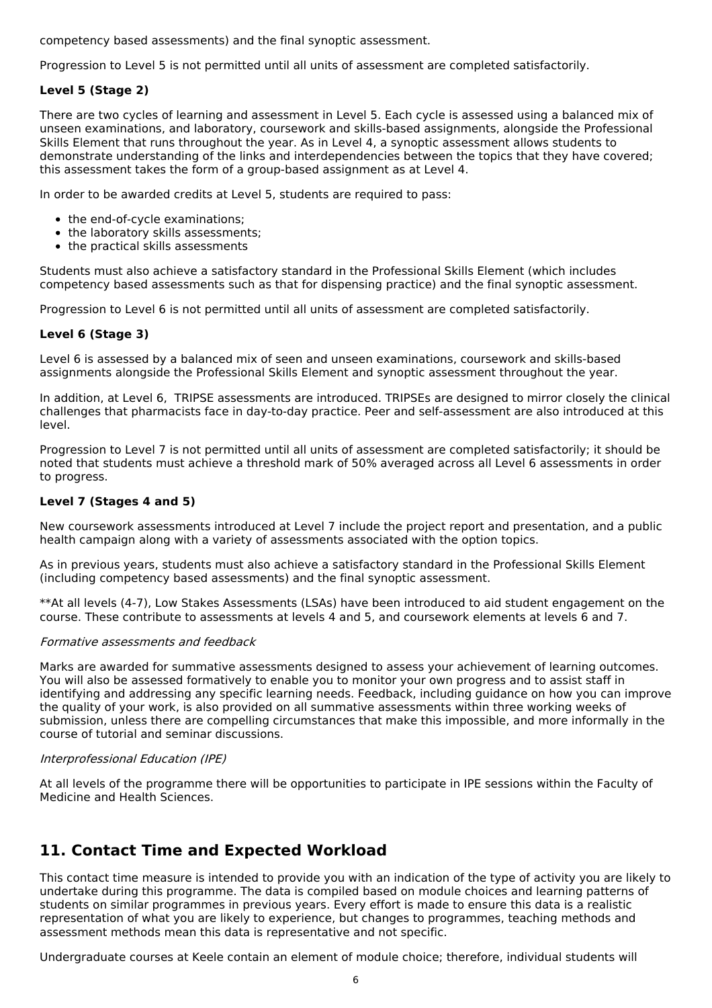competency based assessments) and the final synoptic assessment.

Progression to Level 5 is not permitted until all units of assessment are completed satisfactorily.

#### **Level 5 (Stage 2)**

There are two cycles of learning and assessment in Level 5. Each cycle is assessed using a balanced mix of unseen examinations, and laboratory, coursework and skills-based assignments, alongside the Professional Skills Element that runs throughout the year. As in Level 4, a synoptic assessment allows students to demonstrate understanding of the links and interdependencies between the topics that they have covered; this assessment takes the form of a group-based assignment as at Level 4.

In order to be awarded credits at Level 5, students are required to pass:

- the end-of-cycle examinations;
- the laboratory skills assessments;
- the practical skills assessments

Students must also achieve a satisfactory standard in the Professional Skills Element (which includes competency based assessments such as that for dispensing practice) and the final synoptic assessment.

Progression to Level 6 is not permitted until all units of assessment are completed satisfactorily.

#### **Level 6 (Stage 3)**

Level 6 is assessed by a balanced mix of seen and unseen examinations, coursework and skills-based assignments alongside the Professional Skills Element and synoptic assessment throughout the year.

In addition, at Level 6, TRIPSE assessments are introduced. TRIPSEs are designed to mirror closely the clinical challenges that pharmacists face in day-to-day practice. Peer and self-assessment are also introduced at this level.

Progression to Level 7 is not permitted until all units of assessment are completed satisfactorily; it should be noted that students must achieve a threshold mark of 50% averaged across all Level 6 assessments in order to progress.

#### **Level 7 (Stages 4 and 5)**

New coursework assessments introduced at Level 7 include the project report and presentation, and a public health campaign along with a variety of assessments associated with the option topics.

As in previous years, students must also achieve a satisfactory standard in the Professional Skills Element (including competency based assessments) and the final synoptic assessment.

\*\*At all levels (4-7), Low Stakes Assessments (LSAs) have been introduced to aid student engagement on the course. These contribute to assessments at levels 4 and 5, and coursework elements at levels 6 and 7.

#### Formative assessments and feedback

Marks are awarded for summative assessments designed to assess your achievement of learning outcomes. You will also be assessed formatively to enable you to monitor your own progress and to assist staff in identifying and addressing any specific learning needs. Feedback, including guidance on how you can improve the quality of your work, is also provided on all summative assessments within three working weeks of submission, unless there are compelling circumstances that make this impossible, and more informally in the course of tutorial and seminar discussions.

#### Interprofessional Education (IPE)

At all levels of the programme there will be opportunities to participate in IPE sessions within the Faculty of Medicine and Health Sciences.

### **11. Contact Time and Expected Workload**

This contact time measure is intended to provide you with an indication of the type of activity you are likely to undertake during this programme. The data is compiled based on module choices and learning patterns of students on similar programmes in previous years. Every effort is made to ensure this data is a realistic representation of what you are likely to experience, but changes to programmes, teaching methods and assessment methods mean this data is representative and not specific.

Undergraduate courses at Keele contain an element of module choice; therefore, individual students will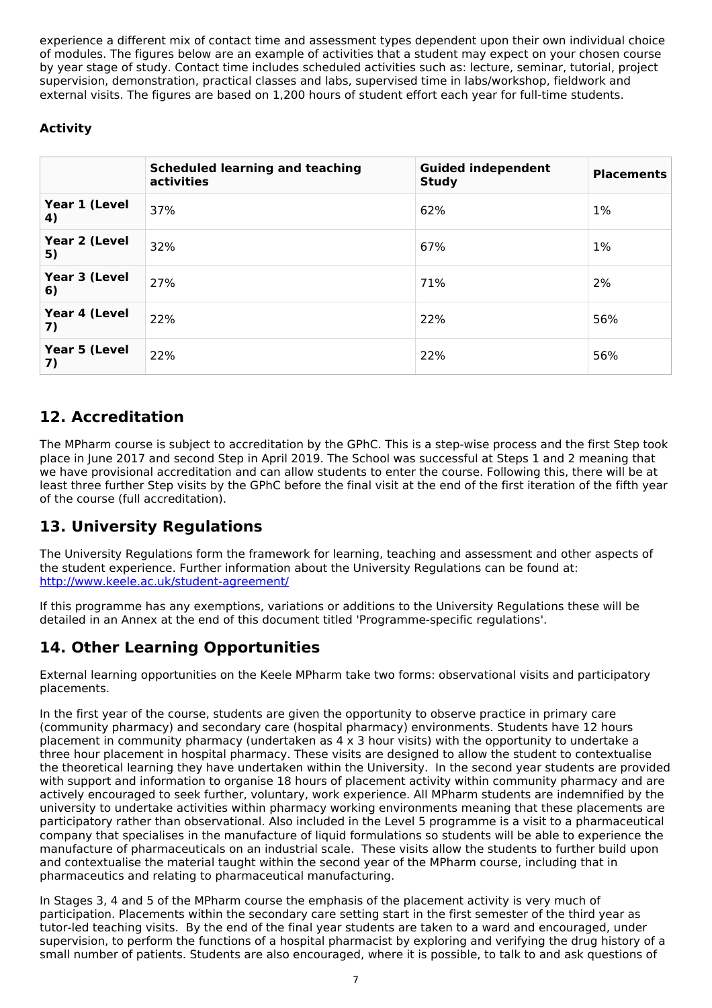experience a different mix of contact time and assessment types dependent upon their own individual choice of modules. The figures below are an example of activities that a student may expect on your chosen course by year stage of study. Contact time includes scheduled activities such as: lecture, seminar, tutorial, project supervision, demonstration, practical classes and labs, supervised time in labs/workshop, fieldwork and external visits. The figures are based on 1,200 hours of student effort each year for full-time students.

### **Activity**

|                     | <b>Scheduled learning and teaching</b><br>activities | <b>Guided independent</b><br><b>Study</b> | <b>Placements</b> |
|---------------------|------------------------------------------------------|-------------------------------------------|-------------------|
| Year 1 (Level<br>4) | 37%                                                  | 62%                                       | $1\%$             |
| Year 2 (Level<br>5) | 32%                                                  | 67%                                       | $1\%$             |
| Year 3 (Level<br>6) | 27%                                                  | 71%                                       | 2%                |
| Year 4 (Level<br>7) | 22%                                                  | 22%                                       | 56%               |
| Year 5 (Level<br>7) | 22%                                                  | 22%                                       | 56%               |

# **12. Accreditation**

The MPharm course is subject to accreditation by the GPhC. This is a step-wise process and the first Step took place in June 2017 and second Step in April 2019. The School was successful at Steps 1 and 2 meaning that we have provisional accreditation and can allow students to enter the course. Following this, there will be at least three further Step visits by the GPhC before the final visit at the end of the first iteration of the fifth year of the course (full accreditation).

# **13. University Regulations**

The University Regulations form the framework for learning, teaching and assessment and other aspects of the student experience. Further information about the University Regulations can be found at: <http://www.keele.ac.uk/student-agreement/>

If this programme has any exemptions, variations or additions to the University Regulations these will be detailed in an Annex at the end of this document titled 'Programme-specific regulations'.

### **14. Other Learning Opportunities**

External learning opportunities on the Keele MPharm take two forms: observational visits and participatory placements.

In the first year of the course, students are given the opportunity to observe practice in primary care (community pharmacy) and secondary care (hospital pharmacy) environments. Students have 12 hours placement in community pharmacy (undertaken as 4 x 3 hour visits) with the opportunity to undertake a three hour placement in hospital pharmacy. These visits are designed to allow the student to contextualise the theoretical learning they have undertaken within the University. In the second year students are provided with support and information to organise 18 hours of placement activity within community pharmacy and are actively encouraged to seek further, voluntary, work experience. All MPharm students are indemnified by the university to undertake activities within pharmacy working environments meaning that these placements are participatory rather than observational. Also included in the Level 5 programme is a visit to a pharmaceutical company that specialises in the manufacture of liquid formulations so students will be able to experience the manufacture of pharmaceuticals on an industrial scale. These visits allow the students to further build upon and contextualise the material taught within the second year of the MPharm course, including that in pharmaceutics and relating to pharmaceutical manufacturing.

In Stages 3, 4 and 5 of the MPharm course the emphasis of the placement activity is very much of participation. Placements within the secondary care setting start in the first semester of the third year as tutor-led teaching visits. By the end of the final year students are taken to a ward and encouraged, under supervision, to perform the functions of a hospital pharmacist by exploring and verifying the drug history of a small number of patients. Students are also encouraged, where it is possible, to talk to and ask questions of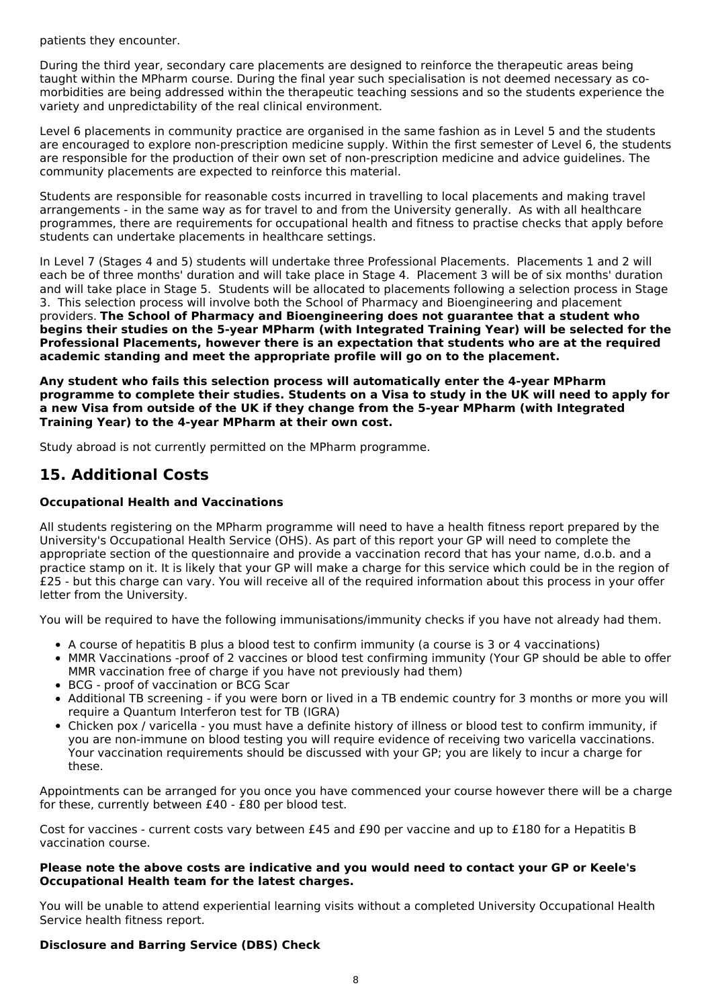patients they encounter.

During the third year, secondary care placements are designed to reinforce the therapeutic areas being taught within the MPharm course. During the final year such specialisation is not deemed necessary as co morbidities are being addressed within the therapeutic teaching sessions and so the students experience the variety and unpredictability of the real clinical environment.

Level 6 placements in community practice are organised in the same fashion as in Level 5 and the students are encouraged to explore non-prescription medicine supply. Within the first semester of Level 6, the students are responsible for the production of their own set of non-prescription medicine and advice guidelines. The community placements are expected to reinforce this material.

Students are responsible for reasonable costs incurred in travelling to local placements and making travel arrangements - in the same way as for travel to and from the University generally. As with all healthcare programmes, there are requirements for occupational health and fitness to practise checks that apply before students can undertake placements in healthcare settings.

In Level 7 (Stages 4 and 5) students will undertake three Professional Placements. Placements 1 and 2 will each be of three months' duration and will take place in Stage 4. Placement 3 will be of six months' duration and will take place in Stage 5. Students will be allocated to placements following a selection process in Stage 3. This selection process will involve both the School of Pharmacy and Bioengineering and placement providers. **The School of Pharmacy and Bioengineering does not guarantee that a student who begins their studies on the 5-year MPharm (with Integrated Training Year) will be selected for the Professional Placements, however there is an expectation that students who are at the required academic standing and meet the appropriate profile will go on to the placement.**

**Any student who fails this selection process will automatically enter the 4-year MPharm** programme to complete their studies. Students on a Visa to study in the UK will need to apply for **a new Visa from outside of the UK if they change from the 5-year MPharm (with Integrated Training Year) to the 4-year MPharm at their own cost.**

Study abroad is not currently permitted on the MPharm programme.

# **15. Additional Costs**

#### **Occupational Health and Vaccinations**

All students registering on the MPharm programme will need to have a health fitness report prepared by the University's Occupational Health Service (OHS). As part of this report your GP will need to complete the appropriate section of the questionnaire and provide a vaccination record that has your name, d.o.b. and a practice stamp on it. It is likely that your GP will make a charge for this service which could be in the region of £25 - but this charge can vary. You will receive all of the required information about this process in your offer letter from the University.

You will be required to have the following immunisations/immunity checks if you have not already had them.

- A course of hepatitis B plus a blood test to confirm immunity (a course is 3 or 4 vaccinations)
- MMR Vaccinations -proof of 2 vaccines or blood test confirming immunity (Your GP should be able to offer MMR vaccination free of charge if you have not previously had them)
- BCG proof of vaccination or BCG Scar
- Additional TB screening if you were born or lived in a TB endemic country for 3 months or more you will require a Quantum Interferon test for TB (IGRA)
- Chicken pox / varicella you must have a definite history of illness or blood test to confirm immunity, if you are non-immune on blood testing you will require evidence of receiving two varicella vaccinations. Your vaccination requirements should be discussed with your GP; you are likely to incur a charge for these.

Appointments can be arranged for you once you have commenced your course however there will be a charge for these, currently between £40 - £80 per blood test.

Cost for vaccines - current costs vary between £45 and £90 per vaccine and up to £180 for a Hepatitis B vaccination course.

#### **Please note the above costs are indicative and you would need to contact your GP or Keele's Occupational Health team for the latest charges.**

You will be unable to attend experiential learning visits without a completed University Occupational Health Service health fitness report.

#### **Disclosure and Barring Service (DBS) Check**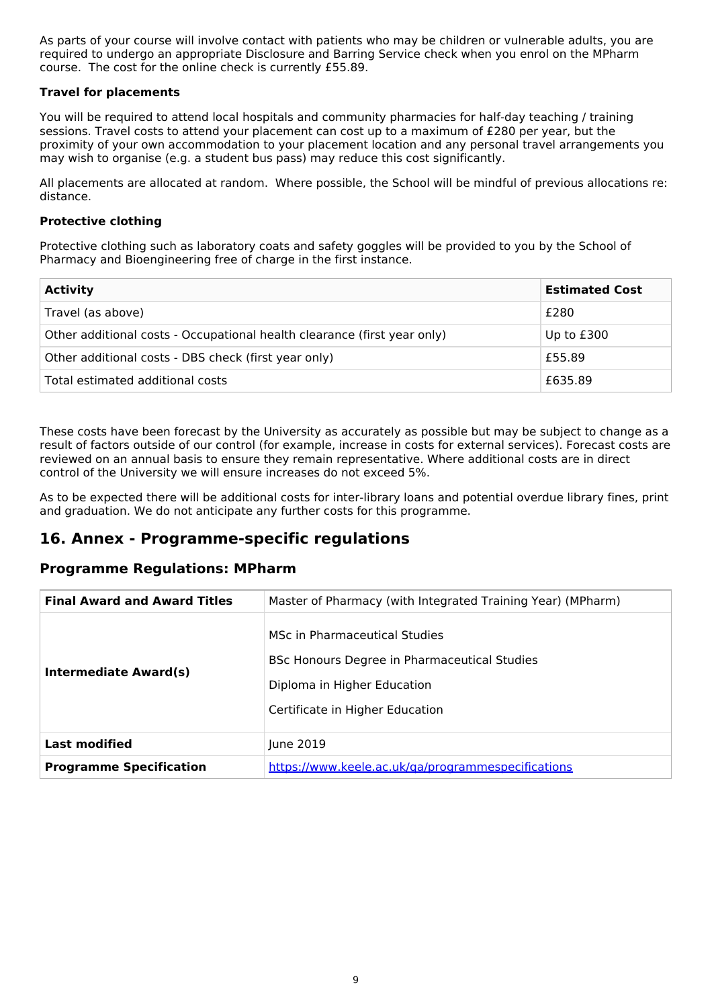As parts of your course will involve contact with patients who may be children or vulnerable adults, you are required to undergo an appropriate Disclosure and Barring Service check when you enrol on the MPharm course. The cost for the online check is currently £55.89.

#### **Travel for placements**

You will be required to attend local hospitals and community pharmacies for half-day teaching / training sessions. Travel costs to attend your placement can cost up to a maximum of £280 per year, but the proximity of your own accommodation to your placement location and any personal travel arrangements you may wish to organise (e.g. a student bus pass) may reduce this cost significantly.

All placements are allocated at random. Where possible, the School will be mindful of previous allocations re: distance.

#### **Protective clothing**

Protective clothing such as laboratory coats and safety goggles will be provided to you by the School of Pharmacy and Bioengineering free of charge in the first instance.

| <b>Activity</b>                                                          | <b>Estimated Cost</b> |
|--------------------------------------------------------------------------|-----------------------|
| Travel (as above)                                                        | £280                  |
| Other additional costs - Occupational health clearance (first year only) | Up to £300            |
| Other additional costs - DBS check (first year only)                     | £55.89                |
| Total estimated additional costs                                         | £635.89               |

These costs have been forecast by the University as accurately as possible but may be subject to change as a result of factors outside of our control (for example, increase in costs for external services). Forecast costs are reviewed on an annual basis to ensure they remain representative. Where additional costs are in direct control of the University we will ensure increases do not exceed 5%.

As to be expected there will be additional costs for inter-library loans and potential overdue library fines, print and graduation. We do not anticipate any further costs for this programme.

### **16. Annex - Programme-specific regulations**

#### **Programme Regulations: MPharm**

| <b>Final Award and Award Titles</b> | Master of Pharmacy (with Integrated Training Year) (MPharm)                                                                                     |
|-------------------------------------|-------------------------------------------------------------------------------------------------------------------------------------------------|
| Intermediate Award(s)               | MSc in Pharmaceutical Studies<br>BSc Honours Degree in Pharmaceutical Studies<br>Diploma in Higher Education<br>Certificate in Higher Education |
| <b>Last modified</b>                | June 2019                                                                                                                                       |
| <b>Programme Specification</b>      | https://www.keele.ac.uk/ga/programmespecifications                                                                                              |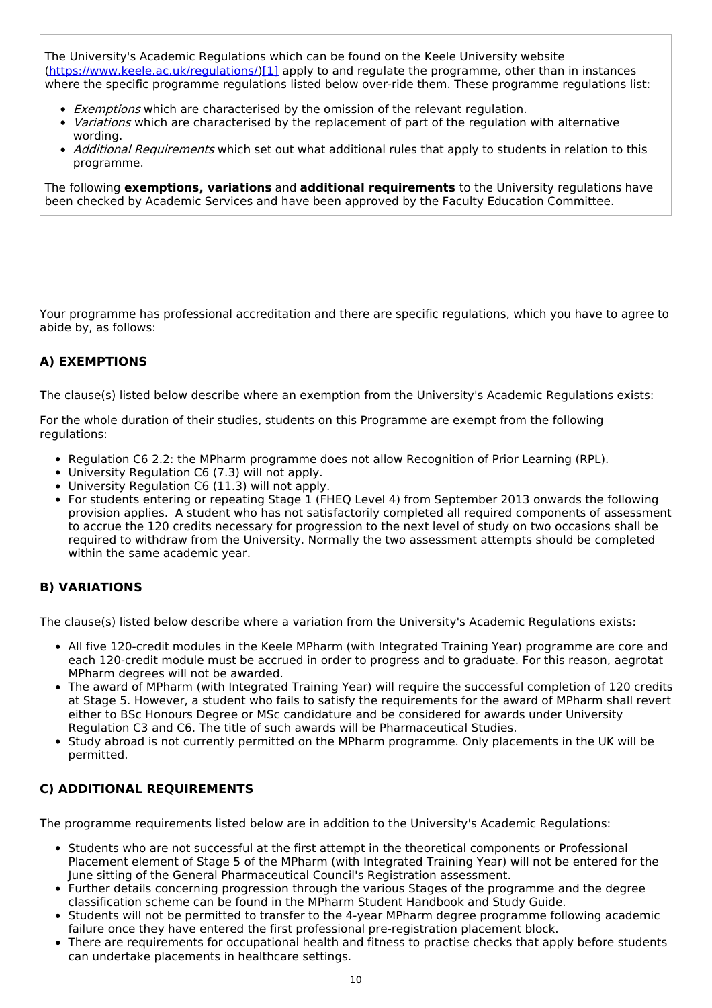The University's Academic Regulations which can be found on the Keele University website [\(https://www.keele.ac.uk/regulations/](https://www.keele.ac.uk/regulations/)[\)\[1\]](https://scims-api.keele.ac.uk/#_ftn1) apply to and regulate the programme, other than in instances where the specific programme regulations listed below over-ride them. These programme regulations list:

- **Exemptions which are characterised by the omission of the relevant regulation.**
- Variations which are characterised by the replacement of part of the regulation with alternative wording.
- Additional Requirements which set out what additional rules that apply to students in relation to this programme.

The following **exemptions, variations** and **additional requirements** to the University regulations have been checked by Academic Services and have been approved by the Faculty Education Committee.

Your programme has professional accreditation and there are specific regulations, which you have to agree to abide by, as follows:

#### **A) EXEMPTIONS**

The clause(s) listed below describe where an exemption from the University's Academic Regulations exists:

For the whole duration of their studies, students on this Programme are exempt from the following regulations:

- Regulation C6 2.2: the MPharm programme does not allow Recognition of Prior Learning (RPL).
- University Regulation C6 (7.3) will not apply.
- University Regulation C6 (11.3) will not apply.
- For students entering or repeating Stage 1 (FHEQ Level 4) from September 2013 onwards the following provision applies. A student who has not satisfactorily completed all required components of assessment to accrue the 120 credits necessary for progression to the next level of study on two occasions shall be required to withdraw from the University. Normally the two assessment attempts should be completed within the same academic year.

#### **B) VARIATIONS**

The clause(s) listed below describe where a variation from the University's Academic Regulations exists:

- All five 120-credit modules in the Keele MPharm (with Integrated Training Year) programme are core and each 120-credit module must be accrued in order to progress and to graduate. For this reason, aegrotat MPharm degrees will not be awarded.
- The award of MPharm (with Integrated Training Year) will require the successful completion of 120 credits at Stage 5. However, a student who fails to satisfy the requirements for the award of MPharm shall revert either to BSc Honours Degree or MSc candidature and be considered for awards under University Regulation C3 and C6. The title of such awards will be Pharmaceutical Studies.
- Study abroad is not currently permitted on the MPharm programme. Only placements in the UK will be permitted.

#### **C) ADDITIONAL REQUIREMENTS**

The programme requirements listed below are in addition to the University's Academic Regulations:

- Students who are not successful at the first attempt in the theoretical components or Professional Placement element of Stage 5 of the MPharm (with Integrated Training Year) will not be entered for the June sitting of the General Pharmaceutical Council's Registration assessment.
- Further details concerning progression through the various Stages of the programme and the degree classification scheme can be found in the MPharm Student Handbook and Study Guide.
- Students will not be permitted to transfer to the 4-year MPharm degree programme following academic failure once they have entered the first professional pre-registration placement block.
- There are requirements for occupational health and fitness to practise checks that apply before students can undertake placements in healthcare settings.